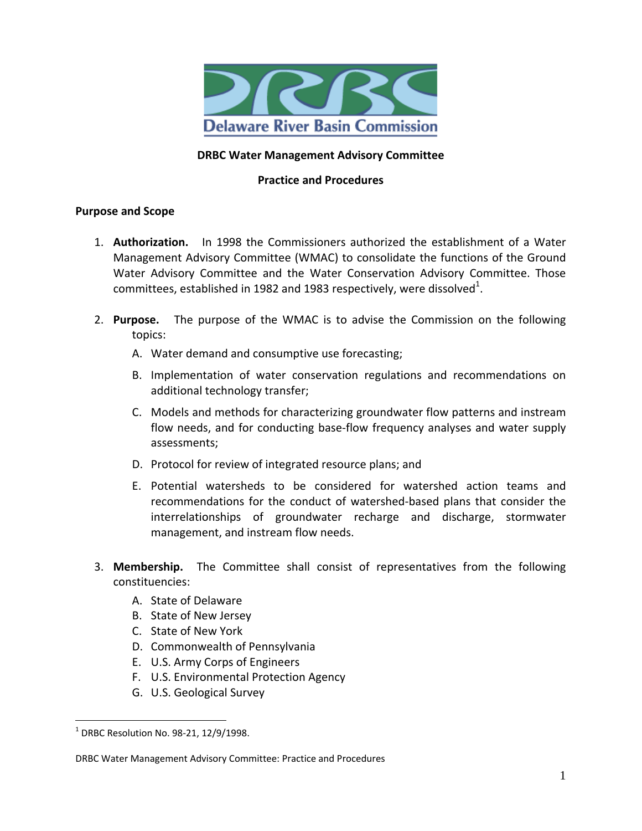

## **DRBC Water Management Advisory Committee**

## **Practice and Procedures**

#### **Purpose and Scope**

- 1. **Authorization.** In 1998 the Commissioners authorized the establishment of a Water Management Advisory Committee (WMAC) to consolidate the functions of the Ground Water Advisory Committee and the Water Conservation Advisory Committee. Those committees, established in 1982 and 1983 respectively, were dissolved $^{1}$ .
- 2. **Purpose.** The purpose of the WMAC is to advise the Commission on the following topics:
	- A. Water demand and consumptive use forecasting;
	- B. Implementation of water conservation regulations and recommendations on additional technology transfer;
	- C. Models and methods for characterizing groundwater flow patterns and instream flow needs, and for conducting base-flow frequency analyses and water supply assessments;
	- D. Protocol for review of integrated resource plans; and
	- E. Potential watersheds to be considered for watershed action teams and recommendations for the conduct of watershed‐based plans that consider the interrelationships of groundwater recharge and discharge, stormwater management, and instream flow needs.
- 3. **Membership.** The Committee shall consist of representatives from the following constituencies:
	- A. State of Delaware
	- B. State of New Jersey
	- C. State of New York
	- D. Commonwealth of Pennsylvania
	- E. U.S. Army Corps of Engineers
	- F. U.S. Environmental Protection Agency
	- G. U.S. Geological Survey

 $\overline{a}$ 

 $1$  DRBC Resolution No. 98-21, 12/9/1998.

DRBC Water Management Advisory Committee: Practice and Procedures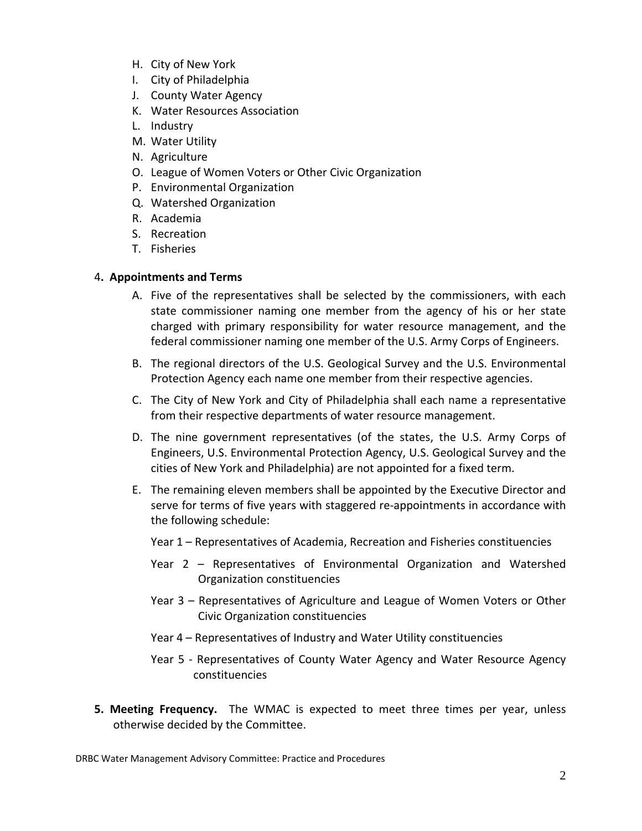- H. City of New York
- I. City of Philadelphia
- J. County Water Agency
- K. Water Resources Association
- L. Industry
- M. Water Utility
- N. Agriculture
- O. League of Women Voters or Other Civic Organization
- P. Environmental Organization
- Q. Watershed Organization
- R. Academia
- S. Recreation
- T. Fisheries

# 4**. Appointments and Terms**

- A. Five of the representatives shall be selected by the commissioners, with each state commissioner naming one member from the agency of his or her state charged with primary responsibility for water resource management, and the federal commissioner naming one member of the U.S. Army Corps of Engineers.
- B. The regional directors of the U.S. Geological Survey and the U.S. Environmental Protection Agency each name one member from their respective agencies.
- C. The City of New York and City of Philadelphia shall each name a representative from their respective departments of water resource management.
- D. The nine government representatives (of the states, the U.S. Army Corps of Engineers, U.S. Environmental Protection Agency, U.S. Geological Survey and the cities of New York and Philadelphia) are not appointed for a fixed term.
- E. The remaining eleven members shall be appointed by the Executive Director and serve for terms of five years with staggered re-appointments in accordance with the following schedule:
	- Year 1 Representatives of Academia, Recreation and Fisheries constituencies
	- Year 2 Representatives of Environmental Organization and Watershed Organization constituencies
	- Year 3 Representatives of Agriculture and League of Women Voters or Other Civic Organization constituencies
	- Year 4 Representatives of Industry and Water Utility constituencies
	- Year 5 Representatives of County Water Agency and Water Resource Agency constituencies
- **5. Meeting Frequency.**  The WMAC is expected to meet three times per year, unless otherwise decided by the Committee.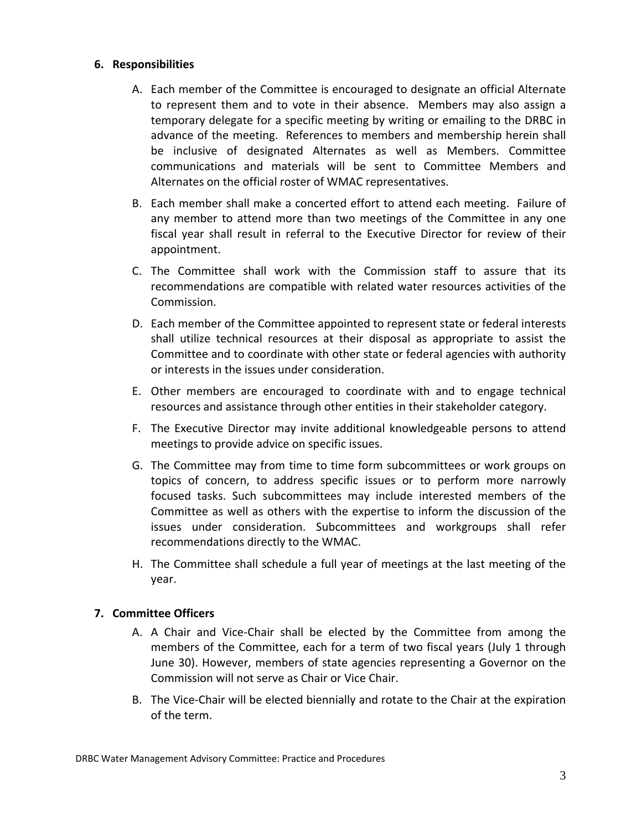#### **6. Responsibilities**

- A. Each member of the Committee is encouraged to designate an official Alternate to represent them and to vote in their absence. Members may also assign a temporary delegate for a specific meeting by writing or emailing to the DRBC in advance of the meeting. References to members and membership herein shall be inclusive of designated Alternates as well as Members. Committee communications and materials will be sent to Committee Members and Alternates on the official roster of WMAC representatives.
- B. Each member shall make a concerted effort to attend each meeting. Failure of any member to attend more than two meetings of the Committee in any one fiscal year shall result in referral to the Executive Director for review of their appointment.
- C. The Committee shall work with the Commission staff to assure that its recommendations are compatible with related water resources activities of the Commission.
- D. Each member of the Committee appointed to represent state or federal interests shall utilize technical resources at their disposal as appropriate to assist the Committee and to coordinate with other state or federal agencies with authority or interests in the issues under consideration.
- E. Other members are encouraged to coordinate with and to engage technical resources and assistance through other entities in their stakeholder category.
- F. The Executive Director may invite additional knowledgeable persons to attend meetings to provide advice on specific issues.
- G. The Committee may from time to time form subcommittees or work groups on topics of concern, to address specific issues or to perform more narrowly focused tasks. Such subcommittees may include interested members of the Committee as well as others with the expertise to inform the discussion of the issues under consideration. Subcommittees and workgroups shall refer recommendations directly to the WMAC.
- H. The Committee shall schedule a full year of meetings at the last meeting of the year.

## **7. Committee Officers**

- A. A Chair and Vice‐Chair shall be elected by the Committee from among the members of the Committee, each for a term of two fiscal years (July 1 through June 30). However, members of state agencies representing a Governor on the Commission will not serve as Chair or Vice Chair.
- B. The Vice‐Chair will be elected biennially and rotate to the Chair at the expiration of the term.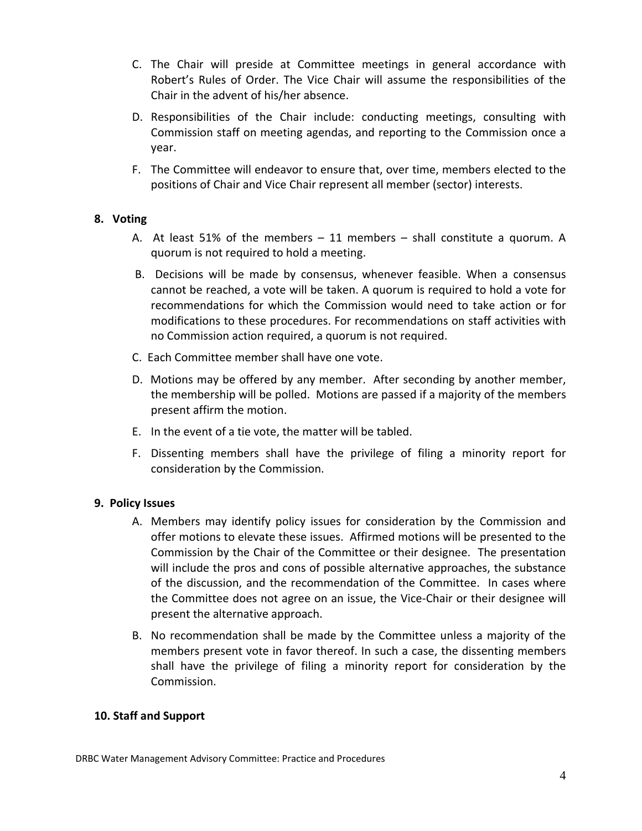- C. The Chair will preside at Committee meetings in general accordance with Robert's Rules of Order. The Vice Chair will assume the responsibilities of the Chair in the advent of his/her absence.
- D. Responsibilities of the Chair include: conducting meetings, consulting with Commission staff on meeting agendas, and reporting to the Commission once a year.
- F. The Committee will endeavor to ensure that, over time, members elected to the positions of Chair and Vice Chair represent all member (sector) interests.

# **8. Voting**

- A. At least 51% of the members  $-11$  members  $-$  shall constitute a quorum. A quorum is not required to hold a meeting.
- B. Decisions will be made by consensus, whenever feasible. When a consensus cannot be reached, a vote will be taken. A quorum is required to hold a vote for recommendations for which the Commission would need to take action or for modifications to these procedures. For recommendations on staff activities with no Commission action required, a quorum is not required.
- C. Each Committee member shall have one vote.
- D. Motions may be offered by any member. After seconding by another member, the membership will be polled. Motions are passed if a majority of the members present affirm the motion.
- E. In the event of a tie vote, the matter will be tabled.
- F. Dissenting members shall have the privilege of filing a minority report for consideration by the Commission.

# **9. Policy Issues**

- A. Members may identify policy issues for consideration by the Commission and offer motions to elevate these issues. Affirmed motions will be presented to the Commission by the Chair of the Committee or their designee. The presentation will include the pros and cons of possible alternative approaches, the substance of the discussion, and the recommendation of the Committee. In cases where the Committee does not agree on an issue, the Vice‐Chair or their designee will present the alternative approach.
- B. No recommendation shall be made by the Committee unless a majority of the members present vote in favor thereof. In such a case, the dissenting members shall have the privilege of filing a minority report for consideration by the Commission.

# **10. Staff and Support**